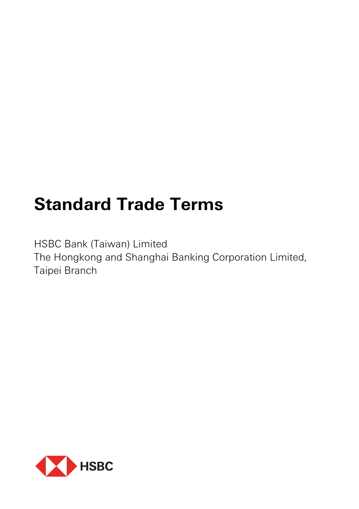# **Standard Trade Terms**

HSBC Bank (Taiwan) Limited The Hongkong and Shanghai Banking Corporation Limited, Taipei Branch

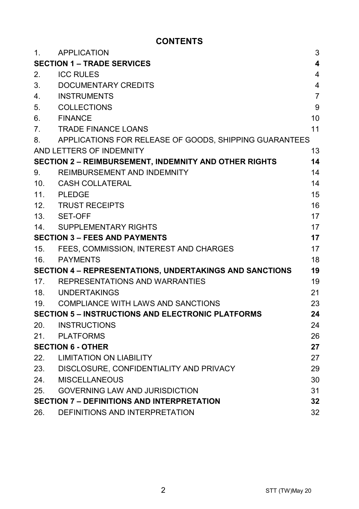## **CONTENTS**

| $\mathbf{1}$ .                                                 | APPLICATION                                            | 3                       |
|----------------------------------------------------------------|--------------------------------------------------------|-------------------------|
|                                                                | <b>SECTION 1 - TRADE SERVICES</b>                      | $\overline{\mathbf{4}}$ |
| 2.                                                             | <b>ICC RULES</b>                                       | 4                       |
| 3.                                                             | DOCUMENTARY CREDITS                                    | 4                       |
| 4.                                                             | <b>INSTRUMENTS</b>                                     | $\overline{7}$          |
| 5.                                                             | <b>COLLECTIONS</b>                                     | 9                       |
| 6.                                                             | <b>FINANCE</b>                                         | 10                      |
| 7 <sub>1</sub>                                                 | <b>TRADE FINANCE LOANS</b>                             | 11                      |
| 8.                                                             | APPLICATIONS FOR RELEASE OF GOODS, SHIPPING GUARANTEES |                         |
|                                                                | AND LETTERS OF INDEMNITY                               | 13                      |
|                                                                | SECTION 2 - REIMBURSEMENT, INDEMNITY AND OTHER RIGHTS  | 14                      |
| 9.                                                             | REIMBURSEMENT AND INDEMNITY                            | 14                      |
| 10 <sub>1</sub>                                                | CASH COLLATERAL                                        | 14                      |
|                                                                | 11. PLEDGE                                             | 15                      |
|                                                                | 12. TRUST RECEIPTS                                     | 16                      |
|                                                                | 13. SET-OFF                                            | 17                      |
| 14.                                                            | SUPPLEMENTARY RIGHTS                                   | 17                      |
| <b>SECTION 3 - FEES AND PAYMENTS</b>                           |                                                        | 17                      |
|                                                                | 15. FEES, COMMISSION, INTEREST AND CHARGES             | 17                      |
| 16.                                                            | PAYMENTS                                               | 18                      |
| <b>SECTION 4 - REPRESENTATIONS, UNDERTAKINGS AND SANCTIONS</b> |                                                        | 19                      |
| 17.                                                            | REPRESENTATIONS AND WARRANTIES                         | 19                      |
|                                                                | 18. UNDERTAKINGS                                       | 21                      |
|                                                                | 19. COMPLIANCE WITH LAWS AND SANCTIONS                 | 23                      |
| <b>SECTION 5 - INSTRUCTIONS AND ELECTRONIC PLATFORMS</b>       |                                                        | 24                      |
|                                                                | 20. INSTRUCTIONS                                       | 24                      |
| 21.                                                            | PLATFORMS                                              | 26                      |
| <b>SECTION 6 - OTHER</b>                                       |                                                        | 27                      |
|                                                                | 22. LIMITATION ON LIABILITY                            | 27                      |
|                                                                | 23. DISCLOSURE, CONFIDENTIALITY AND PRIVACY            | 29                      |
| 24.                                                            | <b>MISCELLANEOUS</b>                                   | 30                      |
| 25.                                                            | <b>GOVERNING LAW AND JURISDICTION</b>                  | 31                      |
|                                                                | <b>SECTION 7 - DEFINITIONS AND INTERPRETATION</b>      | 32                      |
| 26.                                                            | DEFINITIONS AND INTERPRETATION                         | 32                      |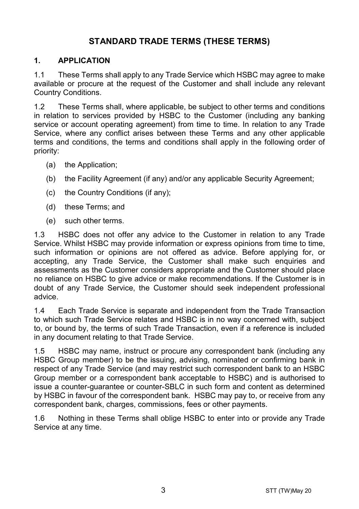## **STANDARD TRADE TERMS (THESE TERMS)**

#### **1. APPLICATION**

1.1 These Terms shall apply to any Trade Service which HSBC may agree to make available or procure at the request of the Customer and shall include any relevant Country Conditions.

1.2 These Terms shall, where applicable, be subject to other terms and conditions in relation to services provided by HSBC to the Customer (including any banking service or account operating agreement) from time to time. In relation to any Trade Service, where any conflict arises between these Terms and any other applicable terms and conditions, the terms and conditions shall apply in the following order of priority:

- (a) the Application;
- (b) the Facility Agreement (if any) and/or any applicable Security Agreement;
- (c) the Country Conditions (if any);
- (d) these Terms; and
- (e) such other terms.

1.3 HSBC does not offer any advice to the Customer in relation to any Trade Service. Whilst HSBC may provide information or express opinions from time to time, such information or opinions are not offered as advice. Before applying for, or accepting, any Trade Service, the Customer shall make such enquiries and assessments as the Customer considers appropriate and the Customer should place no reliance on HSBC to give advice or make recommendations. If the Customer is in doubt of any Trade Service, the Customer should seek independent professional advice.

1.4 Each Trade Service is separate and independent from the Trade Transaction to which such Trade Service relates and HSBC is in no way concerned with, subject to, or bound by, the terms of such Trade Transaction, even if a reference is included in any document relating to that Trade Service.

1.5 HSBC may name, instruct or procure any correspondent bank (including any HSBC Group member) to be the issuing, advising, nominated or confirming bank in respect of any Trade Service (and may restrict such correspondent bank to an HSBC Group member or a correspondent bank acceptable to HSBC) and is authorised to issue a counter-guarantee or counter-SBLC in such form and content as determined by HSBC in favour of the correspondent bank. HSBC may pay to, or receive from any correspondent bank, charges, commissions, fees or other payments.

1.6 Nothing in these Terms shall oblige HSBC to enter into or provide any Trade Service at any time.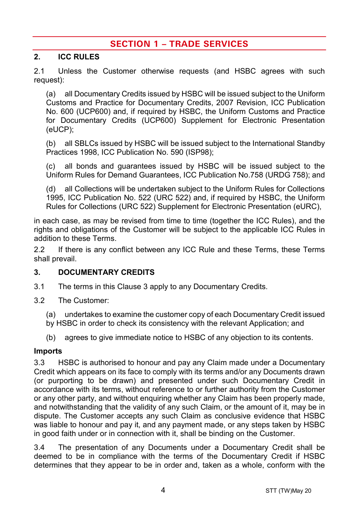## **SECTION 1 – TRADE SERVICES**

#### **2. ICC RULES**

2.1 Unless the Customer otherwise requests (and HSBC agrees with such request):

(a) all Documentary Credits issued by HSBC will be issued subject to the Uniform Customs and Practice for Documentary Credits, 2007 Revision, ICC Publication No. 600 (UCP600) and, if required by HSBC, the Uniform Customs and Practice for Documentary Credits (UCP600) Supplement for Electronic Presentation (eUCP);

(b) all SBLCs issued by HSBC will be issued subject to the International Standby Practices 1998, ICC Publication No. 590 (ISP98);

(c) all bonds and guarantees issued by HSBC will be issued subject to the Uniform Rules for Demand Guarantees, ICC Publication No.758 (URDG 758); and

(d) all Collections will be undertaken subject to the Uniform Rules for Collections 1995, ICC Publication No. 522 (URC 522) and, if required by HSBC, the Uniform Rules for Collections (URC 522) Supplement for Electronic Presentation (eURC),

in each case, as may be revised from time to time (together the ICC Rules), and the rights and obligations of the Customer will be subject to the applicable ICC Rules in addition to these Terms.

2.2 If there is any conflict between any ICC Rule and these Terms, these Terms shall prevail.

#### <span id="page-3-0"></span>**3. DOCUMENTARY CREDITS**

- 3.1 The terms in this Claus[e 3](#page-3-0) apply to any Documentary Credits.
- 3.2 The Customer:
	- (a) undertakes to examine the customer copy of each Documentary Credit issued by HSBC in order to check its consistency with the relevant Application; and
	- (b) agrees to give immediate notice to HSBC of any objection to its contents.

#### **Imports**

3.3 HSBC is authorised to honour and pay any Claim made under a Documentary Credit which appears on its face to comply with its terms and/or any Documents drawn (or purporting to be drawn) and presented under such Documentary Credit in accordance with its terms, without reference to or further authority from the Customer or any other party, and without enquiring whether any Claim has been properly made, and notwithstanding that the validity of any such Claim, or the amount of it, may be in dispute. The Customer accepts any such Claim as conclusive evidence that HSBC was liable to honour and pay it, and any payment made, or any steps taken by HSBC in good faith under or in connection with it, shall be binding on the Customer.

3.4 The presentation of any Documents under a Documentary Credit shall be deemed to be in compliance with the terms of the Documentary Credit if HSBC determines that they appear to be in order and, taken as a whole, conform with the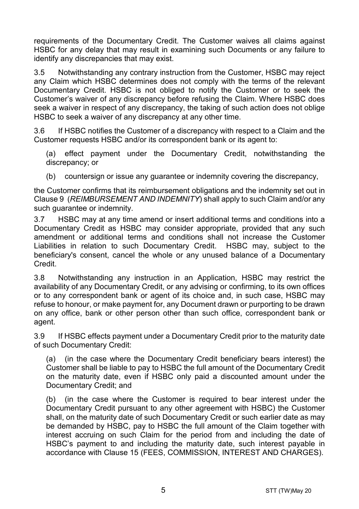requirements of the Documentary Credit. The Customer waives all claims against HSBC for any delay that may result in examining such Documents or any failure to identify any discrepancies that may exist.

3.5 Notwithstanding any contrary instruction from the Customer, HSBC may reject any Claim which HSBC determines does not comply with the terms of the relevant Documentary Credit. HSBC is not obliged to notify the Customer or to seek the Customer's waiver of any discrepancy before refusing the Claim. Where HSBC does seek a waiver in respect of any discrepancy, the taking of such action does not oblige HSBC to seek a waiver of any discrepancy at any other time.

3.6 If HSBC notifies the Customer of a discrepancy with respect to a Claim and the Customer requests HSBC and/or its correspondent bank or its agent to:

(a) effect payment under the Documentary Credit, notwithstanding the discrepancy; or

(b) countersign or issue any quarantee or indemnity covering the discrepancy,

the Customer confirms that its reimbursement obligations and the indemnity set out in Claus[e 9](#page-13-0) (*[REIMBURSEMENT AND INDEMNITY](#page-13-0)*) shall apply to such Claim and/or any such guarantee or indemnity.

3.7 HSBC may at any time amend or insert additional terms and conditions into a Documentary Credit as HSBC may consider appropriate, provided that any such amendment or additional terms and conditions shall not increase the Customer Liabilities in relation to such Documentary Credit. HSBC may, subject to the beneficiary's consent, cancel the whole or any unused balance of a Documentary Credit.

3.8 Notwithstanding any instruction in an Application, HSBC may restrict the availability of any Documentary Credit, or any advising or confirming, to its own offices or to any correspondent bank or agent of its choice and, in such case, HSBC may refuse to honour, or make payment for, any Document drawn or purporting to be drawn on any office, bank or other person other than such office, correspondent bank or agent.

3.9 If HSBC effects payment under a Documentary Credit prior to the maturity date of such Documentary Credit:

(a) (in the case where the Documentary Credit beneficiary bears interest) the Customer shall be liable to pay to HSBC the full amount of the Documentary Credit on the maturity date, even if HSBC only paid a discounted amount under the Documentary Credit; and

(b) (in the case where the Customer is required to bear interest under the Documentary Credit pursuant to any other agreement with HSBC) the Customer shall, on the maturity date of such Documentary Credit or such earlier date as may be demanded by HSBC, pay to HSBC the full amount of the Claim together with interest accruing on such Claim for the period from and including the date of HSBC's payment to and including the maturity date, such interest payable in accordance with Clause [15](#page-16-0) [\(FEES, COMMISSION, INTEREST AND CHARGES\)](#page-16-0).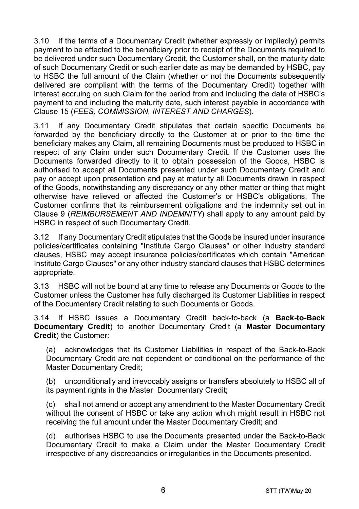3.10 If the terms of a Documentary Credit (whether expressly or impliedly) permits payment to be effected to the beneficiary prior to receipt of the Documents required to be delivered under such Documentary Credit, the Customer shall, on the maturity date of such Documentary Credit or such earlier date as may be demanded by HSBC, pay to HSBC the full amount of the Claim (whether or not the Documents subsequently delivered are compliant with the terms of the Documentary Credit) together with interest accruing on such Claim for the period from and including the date of HSBC's payment to and including the maturity date, such interest payable in accordance with Clause [15](#page-16-0) (*[FEES, COMMISSION, INTEREST AND CHARGES](#page-16-0)*).

3.11 If any Documentary Credit stipulates that certain specific Documents be forwarded by the beneficiary directly to the Customer at or prior to the time the beneficiary makes any Claim, all remaining Documents must be produced to HSBC in respect of any Claim under such Documentary Credit. If the Customer uses the Documents forwarded directly to it to obtain possession of the Goods, HSBC is authorised to accept all Documents presented under such Documentary Credit and pay or accept upon presentation and pay at maturity all Documents drawn in respect of the Goods, notwithstanding any discrepancy or any other matter or thing that might otherwise have relieved or affected the Customer's or HSBC's obligations. The Customer confirms that its reimbursement obligations and the indemnity set out in Clause [9](#page-13-0) (*[REIMBURSEMENT AND INDEMNITY](#page-13-0)*) shall apply to any amount paid by HSBC in respect of such Documentary Credit.

3.12 If any Documentary Credit stipulates that the Goods be insured under insurance policies/certificates containing "Institute Cargo Clauses" or other industry standard clauses, HSBC may accept insurance policies/certificates which contain "American Institute Cargo Clauses" or any other industry standard clauses that HSBC determines appropriate.

3.13 HSBC will not be bound at any time to release any Documents or Goods to the Customer unless the Customer has fully discharged its Customer Liabilities in respect of the Documentary Credit relating to such Documents or Goods.

<span id="page-5-0"></span>3.14 If HSBC issues a Documentary Credit back-to-back (a **Back-to-Back Documentary Credit**) to another Documentary Credit (a **Master Documentary Credit**) the Customer:

(a) acknowledges that its Customer Liabilities in respect of the Back-to-Back Documentary Credit are not dependent or conditional on the performance of the Master Documentary Credit;

(b) unconditionally and irrevocably assigns or transfers absolutely to HSBC all of its payment rights in the Master Documentary Credit;

(c) shall not amend or accept any amendment to the Master Documentary Credit without the consent of HSBC or take any action which might result in HSBC not receiving the full amount under the Master Documentary Credit; and

(d) authorises HSBC to use the Documents presented under the Back-to-Back Documentary Credit to make a Claim under the Master Documentary Credit irrespective of any discrepancies or irregularities in the Documents presented.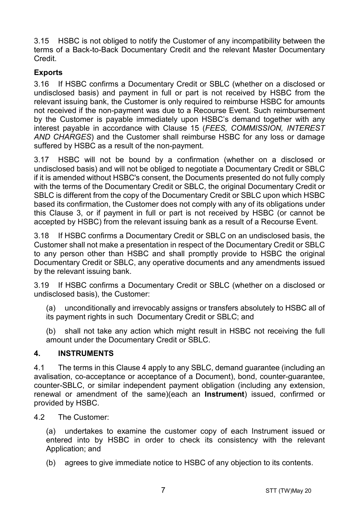3.15 HSBC is not obliged to notify the Customer of any incompatibility between the terms of a Back-to-Back Documentary Credit and the relevant Master Documentary Credit.

#### **Exports**

3.16 If HSBC confirms a Documentary Credit or SBLC (whether on a disclosed or undisclosed basis) and payment in full or part is not received by HSBC from the relevant issuing bank, the Customer is only required to reimburse HSBC for amounts not received if the non-payment was due to a Recourse Event. Such reimbursement by the Customer is payable immediately upon HSBC's demand together with any interest payable in accordance with Clause [15](#page-16-0) (*[FEES, COMMISSION, INTEREST](#page-16-0)  [AND CHARGES](#page-16-0)*) and the Customer shall reimburse HSBC for any loss or damage suffered by HSBC as a result of the non-payment.

3.17 HSBC will not be bound by a confirmation (whether on a disclosed or undisclosed basis) and will not be obliged to negotiate a Documentary Credit or SBLC if it is amended without HSBC's consent, the Documents presented do not fully comply with the terms of the Documentary Credit or SBLC, the original Documentary Credit or SBLC is different from the copy of the Documentary Credit or SBLC upon which HSBC based its confirmation, the Customer does not comply with any of its obligations under this Clause [3,](#page-3-0) or if payment in full or part is not received by HSBC (or cannot be accepted by HSBC) from the relevant issuing bank as a result of a Recourse Event.

3.18 If HSBC confirms a Documentary Credit or SBLC on an undisclosed basis, the Customer shall not make a presentation in respect of the Documentary Credit or SBLC to any person other than HSBC and shall promptly provide to HSBC the original Documentary Credit or SBLC, any operative documents and any amendments issued by the relevant issuing bank.

3.19 If HSBC confirms a Documentary Credit or SBLC (whether on a disclosed or undisclosed basis), the Customer:

(a) unconditionally and irrevocably assigns or transfers absolutely to HSBC all of its payment rights in such Documentary Credit or SBLC; and

(b) shall not take any action which might result in HSBC not receiving the full amount under the Documentary Credit or SBLC.

#### <span id="page-6-0"></span>**4. INSTRUMENTS**

4.1 The terms in this Claus[e 4](#page-6-0) apply to any SBLC, demand guarantee (including an avalisation, co-acceptance or acceptance of a Document), bond, counter-guarantee, counter-SBLC, or similar independent payment obligation (including any extension, renewal or amendment of the same)(each an **Instrument**) issued, confirmed or provided by HSBC.

4.2 The Customer:

(a) undertakes to examine the customer copy of each Instrument issued or entered into by HSBC in order to check its consistency with the relevant Application; and

(b) agrees to give immediate notice to HSBC of any objection to its contents.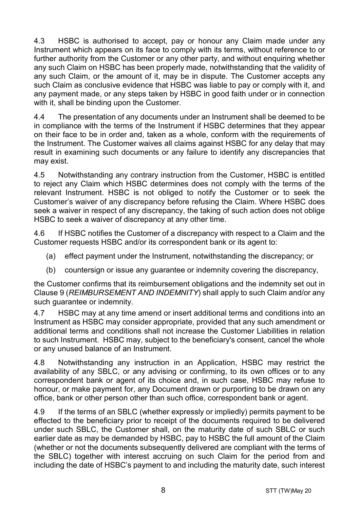4.3 HSBC is authorised to accept, pay or honour any Claim made under any Instrument which appears on its face to comply with its terms, without reference to or further authority from the Customer or any other party, and without enquiring whether any such Claim on HSBC has been properly made, notwithstanding that the validity of any such Claim, or the amount of it, may be in dispute. The Customer accepts any such Claim as conclusive evidence that HSBC was liable to pay or comply with it, and any payment made, or any steps taken by HSBC in good faith under or in connection with it, shall be binding upon the Customer.

4.4 The presentation of any documents under an Instrument shall be deemed to be in compliance with the terms of the Instrument if HSBC determines that they appear on their face to be in order and, taken as a whole, conform with the requirements of the Instrument. The Customer waives all claims against HSBC for any delay that may result in examining such documents or any failure to identify any discrepancies that may exist.

4.5 Notwithstanding any contrary instruction from the Customer, HSBC is entitled to reject any Claim which HSBC determines does not comply with the terms of the relevant Instrument. HSBC is not obliged to notify the Customer or to seek the Customer's waiver of any discrepancy before refusing the Claim. Where HSBC does seek a waiver in respect of any discrepancy, the taking of such action does not oblige HSBC to seek a waiver of discrepancy at any other time.

4.6 If HSBC notifies the Customer of a discrepancy with respect to a Claim and the Customer requests HSBC and/or its correspondent bank or its agent to:

- (a) effect payment under the Instrument, notwithstanding the discrepancy; or
- (b) countersign or issue any guarantee or indemnity covering the discrepancy,

the Customer confirms that its reimbursement obligations and the indemnity set out in Clause [9](#page-13-0) (*[REIMBURSEMENT AND INDEMNITY](#page-13-0)*) shall apply to such Claim and/or any such quarantee or indemnity.

4.7 HSBC may at any time amend or insert additional terms and conditions into an Instrument as HSBC may consider appropriate, provided that any such amendment or additional terms and conditions shall not increase the Customer Liabilities in relation to such Instrument. HSBC may, subject to the beneficiary's consent, cancel the whole or any unused balance of an Instrument.

4.8 Notwithstanding any instruction in an Application, HSBC may restrict the availability of any SBLC, or any advising or confirming, to its own offices or to any correspondent bank or agent of its choice and, in such case, HSBC may refuse to honour, or make payment for, any Document drawn or purporting to be drawn on any office, bank or other person other than such office, correspondent bank or agent.

4.9 If the terms of an SBLC (whether expressly or impliedly) permits payment to be effected to the beneficiary prior to receipt of the documents required to be delivered under such SBLC, the Customer shall, on the maturity date of such SBLC or such earlier date as may be demanded by HSBC, pay to HSBC the full amount of the Claim (whether or not the documents subsequently delivered are compliant with the terms of the SBLC) together with interest accruing on such Claim for the period from and including the date of HSBC's payment to and including the maturity date, such interest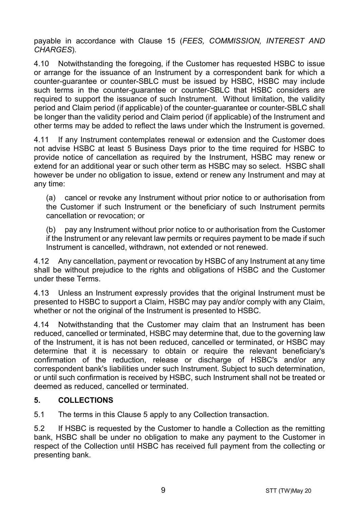payable in accordance with Clause [15](#page-16-0) (*[FEES, COMMISSION, INTEREST AND](#page-16-0)  [CHARGES](#page-16-0)*).

4.10 Notwithstanding the foregoing, if the Customer has requested HSBC to issue or arrange for the issuance of an Instrument by a correspondent bank for which a counter-guarantee or counter-SBLC must be issued by HSBC, HSBC may include such terms in the counter-guarantee or counter-SBLC that HSBC considers are required to support the issuance of such Instrument. Without limitation, the validity period and Claim period (if applicable) of the counter-guarantee or counter-SBLC shall be longer than the validity period and Claim period (if applicable) of the Instrument and other terms may be added to reflect the laws under which the Instrument is governed.

4.11 If any Instrument contemplates renewal or extension and the Customer does not advise HSBC at least 5 Business Days prior to the time required for HSBC to provide notice of cancellation as required by the Instrument, HSBC may renew or extend for an additional year or such other term as HSBC may so select. HSBC shall however be under no obligation to issue, extend or renew any Instrument and may at any time:

(a) cancel or revoke any Instrument without prior notice to or authorisation from the Customer if such Instrument or the beneficiary of such Instrument permits cancellation or revocation; or

(b) pay any Instrument without prior notice to or authorisation from the Customer if the Instrument or any relevant law permits or requires payment to be made if such Instrument is cancelled, withdrawn, not extended or not renewed.

4.12 Any cancellation, payment or revocation by HSBC of any Instrument at any time shall be without prejudice to the rights and obligations of HSBC and the Customer under these Terms.

4.13 Unless an Instrument expressly provides that the original Instrument must be presented to HSBC to support a Claim, HSBC may pay and/or comply with any Claim, whether or not the original of the Instrument is presented to HSBC.

4.14 Notwithstanding that the Customer may claim that an Instrument has been reduced, cancelled or terminated, HSBC may determine that, due to the governing law of the Instrument, it is has not been reduced, cancelled or terminated, or HSBC may determine that it is necessary to obtain or require the relevant beneficiary's confirmation of the reduction, release or discharge of HSBC's and/or any correspondent bank's liabilities under such Instrument. Subject to such determination, or until such confirmation is received by HSBC, such Instrument shall not be treated or deemed as reduced, cancelled or terminated.

## <span id="page-8-0"></span>**5. COLLECTIONS**

5.1 The terms in this Claus[e 5](#page-8-0) apply to any Collection transaction.

5.2 If HSBC is requested by the Customer to handle a Collection as the remitting bank, HSBC shall be under no obligation to make any payment to the Customer in respect of the Collection until HSBC has received full payment from the collecting or presenting bank.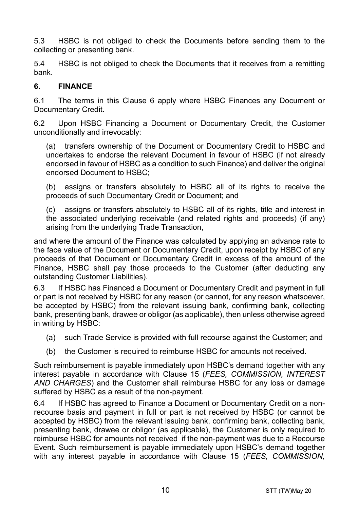5.3 HSBC is not obliged to check the Documents before sending them to the collecting or presenting bank.

5.4 HSBC is not obliged to check the Documents that it receives from a remitting bank.

#### <span id="page-9-0"></span>**6. FINANCE**

6.1 The terms in this Clause [6](#page-9-0) apply where HSBC Finances any Document or Documentary Credit.

6.2 Upon HSBC Financing a Document or Documentary Credit, the Customer unconditionally and irrevocably:

(a) transfers ownership of the Document or Documentary Credit to HSBC and undertakes to endorse the relevant Document in favour of HSBC (if not already endorsed in favour of HSBC as a condition to such Finance) and deliver the original endorsed Document to HSBC;

(b) assigns or transfers absolutely to HSBC all of its rights to receive the proceeds of such Documentary Credit or Document; and

(c) assigns or transfers absolutely to HSBC all of its rights, title and interest in the associated underlying receivable (and related rights and proceeds) (if any) arising from the underlying Trade Transaction,

and where the amount of the Finance was calculated by applying an advance rate to the face value of the Document or Documentary Credit, upon receipt by HSBC of any proceeds of that Document or Documentary Credit in excess of the amount of the Finance, HSBC shall pay those proceeds to the Customer (after deducting any outstanding Customer Liabilities).

6.3 If HSBC has Financed a Document or Documentary Credit and payment in full or part is not received by HSBC for any reason (or cannot, for any reason whatsoever, be accepted by HSBC) from the relevant issuing bank, confirming bank, collecting bank, presenting bank, drawee or obligor (as applicable), then unless otherwise agreed in writing by HSBC:

- (a) such Trade Service is provided with full recourse against the Customer; and
- (b) the Customer is required to reimburse HSBC for amounts not received.

Such reimbursement is payable immediately upon HSBC's demand together with any interest payable in accordance with Clause [15](#page-16-0) (*[FEES, COMMISSION, INTEREST](#page-16-0)  [AND CHARGES](#page-16-0)*) and the Customer shall reimburse HSBC for any loss or damage suffered by HSBC as a result of the non-payment.

6.4 If HSBC has agreed to Finance a Document or Documentary Credit on a nonrecourse basis and payment in full or part is not received by HSBC (or cannot be accepted by HSBC) from the relevant issuing bank, confirming bank, collecting bank, presenting bank, drawee or obligor (as applicable), the Customer is only required to reimburse HSBC for amounts not received if the non-payment was due to a Recourse Event. Such reimbursement is payable immediately upon HSBC's demand together with any interest payable in accordance with Clause [15](#page-16-0) (*[FEES, COMMISSION,](#page-16-0)*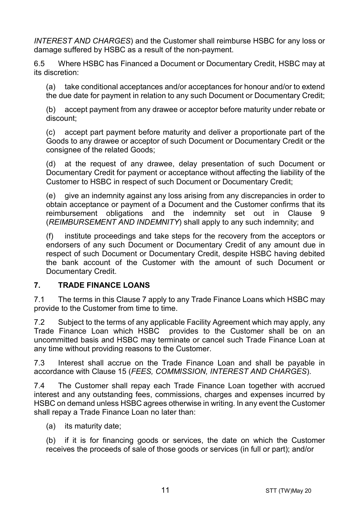*[INTEREST AND CHARGES](#page-16-0)*) and the Customer shall reimburse HSBC for any loss or damage suffered by HSBC as a result of the non-payment.

6.5 Where HSBC has Financed a Document or Documentary Credit, HSBC may at its discretion:

(a) take conditional acceptances and/or acceptances for honour and/or to extend the due date for payment in relation to any such Document or Documentary Credit;

(b) accept payment from any drawee or acceptor before maturity under rebate or discount;

(c) accept part payment before maturity and deliver a proportionate part of the Goods to any drawee or acceptor of such Document or Documentary Credit or the consignee of the related Goods;

(d) at the request of any drawee, delay presentation of such Document or Documentary Credit for payment or acceptance without affecting the liability of the Customer to HSBC in respect of such Document or Documentary Credit;

(e) give an indemnity against any loss arising from any discrepancies in order to obtain acceptance or payment of a Document and the Customer confirms that its reimbursement obligations and the indemnity set out in Clause [9](#page-13-0) (*[REIMBURSEMENT AND INDEMNITY](#page-13-0)*) shall apply to any such indemnity; and

(f) institute proceedings and take steps for the recovery from the acceptors or endorsers of any such Document or Documentary Credit of any amount due in respect of such Document or Documentary Credit, despite HSBC having debited the bank account of the Customer with the amount of such Document or Documentary Credit.

#### <span id="page-10-0"></span>**7. TRADE FINANCE LOANS**

7.1 The terms in this Claus[e 7](#page-10-0) apply to any Trade Finance Loans which HSBC may provide to the Customer from time to time.

7.2 Subject to the terms of any applicable Facility Agreement which may apply, any Trade Finance Loan which HSBC provides to the Customer shall be on an uncommitted basis and HSBC may terminate or cancel such Trade Finance Loan at any time without providing reasons to the Customer.

7.3 Interest shall accrue on the Trade Finance Loan and shall be payable in accordance with Clause [15](#page-16-0) (*[FEES, COMMISSION, INTEREST AND CHARGES](#page-16-0)*).

7.4 The Customer shall repay each Trade Finance Loan together with accrued interest and any outstanding fees, commissions, charges and expenses incurred by HSBC on demand unless HSBC agrees otherwise in writing. In any event the Customer shall repay a Trade Finance Loan no later than:

(a) its maturity date;

(b) if it is for financing goods or services, the date on which the Customer receives the proceeds of sale of those goods or services (in full or part); and/or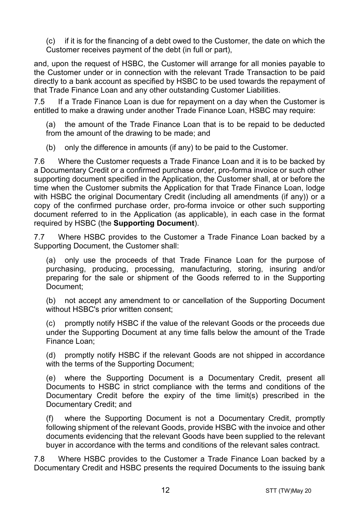(c) if it is for the financing of a debt owed to the Customer, the date on which the Customer receives payment of the debt (in full or part),

and, upon the request of HSBC, the Customer will arrange for all monies payable to the Customer under or in connection with the relevant Trade Transaction to be paid directly to a bank account as specified by HSBC to be used towards the repayment of that Trade Finance Loan and any other outstanding Customer Liabilities.

7.5 If a Trade Finance Loan is due for repayment on a day when the Customer is entitled to make a drawing under another Trade Finance Loan, HSBC may require:

(a) the amount of the Trade Finance Loan that is to be repaid to be deducted from the amount of the drawing to be made; and

(b) only the difference in amounts (if any) to be paid to the Customer.

7.6 Where the Customer requests a Trade Finance Loan and it is to be backed by a Documentary Credit or a confirmed purchase order, pro-forma invoice or such other supporting document specified in the Application, the Customer shall, at or before the time when the Customer submits the Application for that Trade Finance Loan, lodge with HSBC the original Documentary Credit (including all amendments (if any)) or a copy of the confirmed purchase order, pro-forma invoice or other such supporting document referred to in the Application (as applicable), in each case in the format required by HSBC (the **Supporting Document**).

7.7 Where HSBC provides to the Customer a Trade Finance Loan backed by a Supporting Document, the Customer shall:

(a) only use the proceeds of that Trade Finance Loan for the purpose of purchasing, producing, processing, manufacturing, storing, insuring and/or preparing for the sale or shipment of the Goods referred to in the Supporting Document;

(b) not accept any amendment to or cancellation of the Supporting Document without HSBC's prior written consent;

(c) promptly notify HSBC if the value of the relevant Goods or the proceeds due under the Supporting Document at any time falls below the amount of the Trade Finance Loan;

(d) promptly notify HSBC if the relevant Goods are not shipped in accordance with the terms of the Supporting Document;

(e) where the Supporting Document is a Documentary Credit, present all Documents to HSBC in strict compliance with the terms and conditions of the Documentary Credit before the expiry of the time limit(s) prescribed in the Documentary Credit; and

where the Supporting Document is not a Documentary Credit, promptly following shipment of the relevant Goods, provide HSBC with the invoice and other documents evidencing that the relevant Goods have been supplied to the relevant buyer in accordance with the terms and conditions of the relevant sales contract.

7.8 Where HSBC provides to the Customer a Trade Finance Loan backed by a Documentary Credit and HSBC presents the required Documents to the issuing bank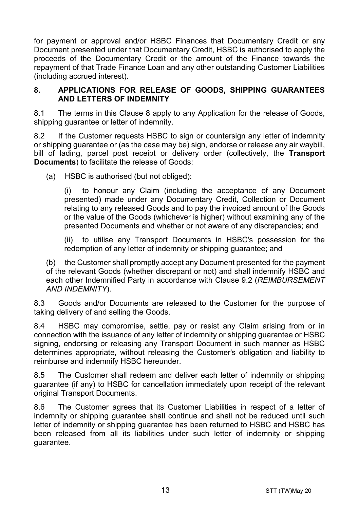for payment or approval and/or HSBC Finances that Documentary Credit or any Document presented under that Documentary Credit, HSBC is authorised to apply the proceeds of the Documentary Credit or the amount of the Finance towards the repayment of that Trade Finance Loan and any other outstanding Customer Liabilities (including accrued interest).

#### <span id="page-12-0"></span>**8. APPLICATIONS FOR RELEASE OF GOODS, SHIPPING GUARANTEES AND LETTERS OF INDEMNITY**

8.1 The terms in this Clause [8](#page-12-0) apply to any Application for the release of Goods, shipping guarantee or letter of indemnity.

8.2 If the Customer requests HSBC to sign or countersign any letter of indemnity or shipping guarantee or (as the case may be) sign, endorse or release any air waybill, bill of lading, parcel post receipt or delivery order (collectively, the **Transport Documents**) to facilitate the release of Goods:

(a) HSBC is authorised (but not obliged):

(i) to honour any Claim (including the acceptance of any Document presented) made under any Documentary Credit, Collection or Document relating to any released Goods and to pay the invoiced amount of the Goods or the value of the Goods (whichever is higher) without examining any of the presented Documents and whether or not aware of any discrepancies; and

(ii) to utilise any Transport Documents in HSBC's possession for the redemption of any letter of indemnity or shipping guarantee; and

(b) the Customer shall promptly accept any Document presented for the payment of the relevant Goods (whether discrepant or not) and shall indemnify HSBC and each other Indemnified Party in accordance with Clause [9.2](#page-13-1) (*[REIMBURSEMENT](#page-13-0)  [AND INDEMNITY](#page-13-0)*).

8.3 Goods and/or Documents are released to the Customer for the purpose of taking delivery of and selling the Goods.

8.4 HSBC may compromise, settle, pay or resist any Claim arising from or in connection with the issuance of any letter of indemnity or shipping guarantee or HSBC signing, endorsing or releasing any Transport Document in such manner as HSBC determines appropriate, without releasing the Customer's obligation and liability to reimburse and indemnify HSBC hereunder.

8.5 The Customer shall redeem and deliver each letter of indemnity or shipping guarantee (if any) to HSBC for cancellation immediately upon receipt of the relevant original Transport Documents.

8.6 The Customer agrees that its Customer Liabilities in respect of a letter of indemnity or shipping guarantee shall continue and shall not be reduced until such letter of indemnity or shipping guarantee has been returned to HSBC and HSBC has been released from all its liabilities under such letter of indemnity or shipping guarantee.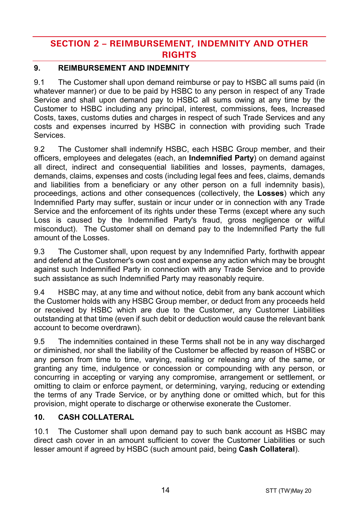# **SECTION 2 – REIMBURSEMENT, INDEMNITY AND OTHER RIGHTS**

## <span id="page-13-0"></span>**9. REIMBURSEMENT AND INDEMNITY**

9.1 The Customer shall upon demand reimburse or pay to HSBC all sums paid (in whatever manner) or due to be paid by HSBC to any person in respect of any Trade Service and shall upon demand pay to HSBC all sums owing at any time by the Customer to HSBC including any principal, interest, commissions, fees, Increased Costs, taxes, customs duties and charges in respect of such Trade Services and any costs and expenses incurred by HSBC in connection with providing such Trade Services.

<span id="page-13-1"></span>9.2 The Customer shall indemnify HSBC, each HSBC Group member, and their officers, employees and delegates (each, an **Indemnified Party**) on demand against all direct, indirect and consequential liabilities and losses, payments, damages, demands, claims, expenses and costs (including legal fees and fees, claims, demands and liabilities from a beneficiary or any other person on a full indemnity basis), proceedings, actions and other consequences (collectively, the **Losses**) which any Indemnified Party may suffer, sustain or incur under or in connection with any Trade Service and the enforcement of its rights under these Terms (except where any such Loss is caused by the Indemnified Party's fraud, gross negligence or wilful misconduct). The Customer shall on demand pay to the Indemnified Party the full amount of the Losses.

9.3 The Customer shall, upon request by any Indemnified Party, forthwith appear and defend at the Customer's own cost and expense any action which may be brought against such Indemnified Party in connection with any Trade Service and to provide such assistance as such Indemnified Party may reasonably require.

9.4 HSBC may, at any time and without notice, debit from any bank account which the Customer holds with any HSBC Group member, or deduct from any proceeds held or received by HSBC which are due to the Customer, any Customer Liabilities outstanding at that time (even if such debit or deduction would cause the relevant bank account to become overdrawn).

9.5 The indemnities contained in these Terms shall not be in any way discharged or diminished, nor shall the liability of the Customer be affected by reason of HSBC or any person from time to time, varying, realising or releasing any of the same, or granting any time, indulgence or concession or compounding with any person, or concurring in accepting or varying any compromise, arrangement or settlement, or omitting to claim or enforce payment, or determining, varying, reducing or extending the terms of any Trade Service, or by anything done or omitted which, but for this provision, might operate to discharge or otherwise exonerate the Customer.

## <span id="page-13-2"></span>**10. CASH COLLATERAL**

10.1 The Customer shall upon demand pay to such bank account as HSBC may direct cash cover in an amount sufficient to cover the Customer Liabilities or such lesser amount if agreed by HSBC (such amount paid, being **Cash Collateral**).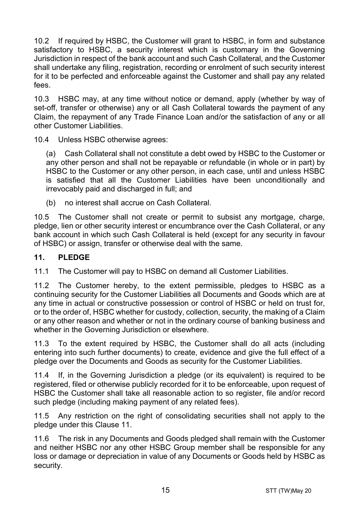10.2 If required by HSBC, the Customer will grant to HSBC, in form and substance satisfactory to HSBC, a security interest which is customary in the Governing Jurisdiction in respect of the bank account and such Cash Collateral, and the Customer shall undertake any filing, registration, recording or enrolment of such security interest for it to be perfected and enforceable against the Customer and shall pay any related fees.

10.3 HSBC may, at any time without notice or demand, apply (whether by way of set-off, transfer or otherwise) any or all Cash Collateral towards the payment of any Claim, the repayment of any Trade Finance Loan and/or the satisfaction of any or all other Customer Liabilities.

10.4 Unless HSBC otherwise agrees:

(a) Cash Collateral shall not constitute a debt owed by HSBC to the Customer or any other person and shall not be repayable or refundable (in whole or in part) by HSBC to the Customer or any other person, in each case, until and unless HSBC is satisfied that all the Customer Liabilities have been unconditionally and irrevocably paid and discharged in full; and

(b) no interest shall accrue on Cash Collateral.

10.5 The Customer shall not create or permit to subsist any mortgage, charge, pledge, lien or other security interest or encumbrance over the Cash Collateral, or any bank account in which such Cash Collateral is held (except for any security in favour of HSBC) or assign, transfer or otherwise deal with the same.

#### <span id="page-14-0"></span>**11. PLEDGE**

11.1 The Customer will pay to HSBC on demand all Customer Liabilities.

11.2 The Customer hereby, to the extent permissible, pledges to HSBC as a continuing security for the Customer Liabilities all Documents and Goods which are at any time in actual or constructive possession or control of HSBC or held on trust for, or to the order of, HSBC whether for custody, collection, security, the making of a Claim or any other reason and whether or not in the ordinary course of banking business and whether in the Governing Jurisdiction or elsewhere.

11.3 To the extent required by HSBC, the Customer shall do all acts (including entering into such further documents) to create, evidence and give the full effect of a pledge over the Documents and Goods as security for the Customer Liabilities.

11.4 If, in the Governing Jurisdiction a pledge (or its equivalent) is required to be registered, filed or otherwise publicly recorded for it to be enforceable, upon request of HSBC the Customer shall take all reasonable action to so register, file and/or record such pledge (including making payment of any related fees).

11.5 Any restriction on the right of consolidating securities shall not apply to the pledge under this Clause [11.](#page-14-0)

11.6 The risk in any Documents and Goods pledged shall remain with the Customer and neither HSBC nor any other HSBC Group member shall be responsible for any loss or damage or depreciation in value of any Documents or Goods held by HSBC as security.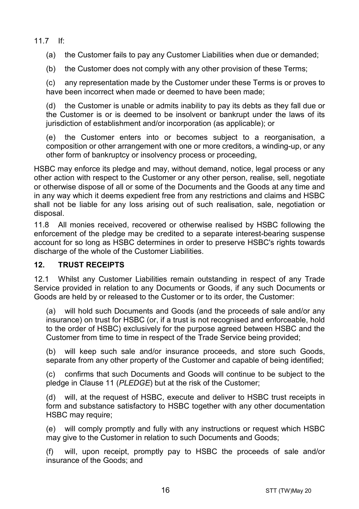11.7 If:

(a) the Customer fails to pay any Customer Liabilities when due or demanded;

(b) the Customer does not comply with any other provision of these Terms;

(c) any representation made by the Customer under these Terms is or proves to have been incorrect when made or deemed to have been made:

(d) the Customer is unable or admits inability to pay its debts as they fall due or the Customer is or is deemed to be insolvent or bankrupt under the laws of its jurisdiction of establishment and/or incorporation (as applicable); or

(e) the Customer enters into or becomes subject to a reorganisation, a composition or other arrangement with one or more creditors, a winding-up, or any other form of bankruptcy or insolvency process or proceeding,

HSBC may enforce its pledge and may, without demand, notice, legal process or any other action with respect to the Customer or any other person, realise, sell, negotiate or otherwise dispose of all or some of the Documents and the Goods at any time and in any way which it deems expedient free from any restrictions and claims and HSBC shall not be liable for any loss arising out of such realisation, sale, negotiation or disposal.

11.8 All monies received, recovered or otherwise realised by HSBC following the enforcement of the pledge may be credited to a separate interest-bearing suspense account for so long as HSBC determines in order to preserve HSBC's rights towards discharge of the whole of the Customer Liabilities.

#### **12. TRUST RECEIPTS**

12.1 Whilst any Customer Liabilities remain outstanding in respect of any Trade Service provided in relation to any Documents or Goods, if any such Documents or Goods are held by or released to the Customer or to its order, the Customer:

(a) will hold such Documents and Goods (and the proceeds of sale and/or any insurance) on trust for HSBC (or, if a trust is not recognised and enforceable, hold to the order of HSBC) exclusively for the purpose agreed between HSBC and the Customer from time to time in respect of the Trade Service being provided;

(b) will keep such sale and/or insurance proceeds, and store such Goods, separate from any other property of the Customer and capable of being identified;

(c) confirms that such Documents and Goods will continue to be subject to the pledge in Claus[e 11](#page-14-0) (*[PLEDGE](#page-14-0)*) but at the risk of the Customer;

(d) will, at the request of HSBC, execute and deliver to HSBC trust receipts in form and substance satisfactory to HSBC together with any other documentation HSBC may require;

(e) will comply promptly and fully with any instructions or request which HSBC may give to the Customer in relation to such Documents and Goods;

(f) will, upon receipt, promptly pay to HSBC the proceeds of sale and/or insurance of the Goods; and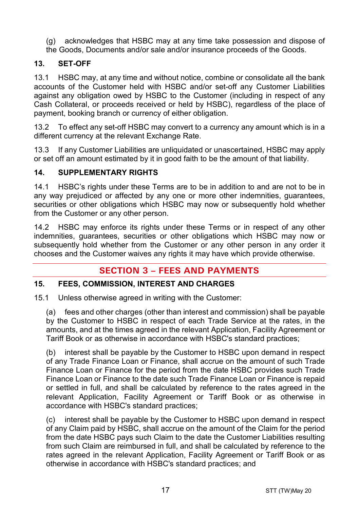- (g) acknowledges that HSBC may at any time take possession and dispose of
- the Goods, Documents and/or sale and/or insurance proceeds of the Goods.

## **13. SET-OFF**

13.1 HSBC may, at any time and without notice, combine or consolidate all the bank accounts of the Customer held with HSBC and/or set-off any Customer Liabilities against any obligation owed by HSBC to the Customer (including in respect of any Cash Collateral, or proceeds received or held by HSBC), regardless of the place of payment, booking branch or currency of either obligation.

13.2 To effect any set-off HSBC may convert to a currency any amount which is in a different currency at the relevant Exchange Rate.

13.3 If any Customer Liabilities are unliquidated or unascertained, HSBC may apply or set off an amount estimated by it in good faith to be the amount of that liability.

## **14. SUPPLEMENTARY RIGHTS**

14.1 HSBC's rights under these Terms are to be in addition to and are not to be in any way prejudiced or affected by any one or more other indemnities, guarantees, securities or other obligations which HSBC may now or subsequently hold whether from the Customer or any other person.

14.2 HSBC may enforce its rights under these Terms or in respect of any other indemnities, guarantees, securities or other obligations which HSBC may now or subsequently hold whether from the Customer or any other person in any order it chooses and the Customer waives any rights it may have which provide otherwise.

# **SECTION 3 – FEES AND PAYMENTS**

## <span id="page-16-0"></span>**15. FEES, COMMISSION, INTEREST AND CHARGES**

15.1 Unless otherwise agreed in writing with the Customer:

(a) fees and other charges (other than interest and commission) shall be payable by the Customer to HSBC in respect of each Trade Service at the rates, in the amounts, and at the times agreed in the relevant Application, Facility Agreement or Tariff Book or as otherwise in accordance with HSBC's standard practices;

(b) interest shall be payable by the Customer to HSBC upon demand in respect of any Trade Finance Loan or Finance, shall accrue on the amount of such Trade Finance Loan or Finance for the period from the date HSBC provides such Trade Finance Loan or Finance to the date such Trade Finance Loan or Finance is repaid or settled in full, and shall be calculated by reference to the rates agreed in the relevant Application, Facility Agreement or Tariff Book or as otherwise in accordance with HSBC's standard practices;

(c) interest shall be payable by the Customer to HSBC upon demand in respect of any Claim paid by HSBC, shall accrue on the amount of the Claim for the period from the date HSBC pays such Claim to the date the Customer Liabilities resulting from such Claim are reimbursed in full, and shall be calculated by reference to the rates agreed in the relevant Application, Facility Agreement or Tariff Book or as otherwise in accordance with HSBC's standard practices; and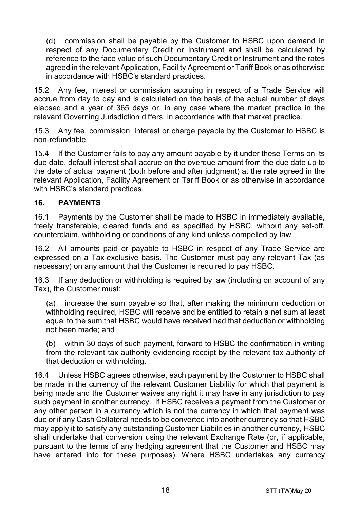(d) commission shall be payable by the Customer to HSBC upon demand in respect of any Documentary Credit or Instrument and shall be calculated by reference to the face value of such Documentary Credit or Instrument and the rates agreed in the relevant Application, Facility Agreement or Tariff Book or as otherwise in accordance with HSBC's standard practices.

15.2 Any fee, interest or commission accruing in respect of a Trade Service will accrue from day to day and is calculated on the basis of the actual number of days elapsed and a year of 365 days or, in any case where the market practice in the relevant Governing Jurisdiction differs, in accordance with that market practice.

15.3 Any fee, commission, interest or charge payable by the Customer to HSBC is non-refundable.

15.4 If the Customer fails to pay any amount payable by it under these Terms on its due date, default interest shall accrue on the overdue amount from the due date up to the date of actual payment (both before and after judgment) at the rate agreed in the relevant Application, Facility Agreement or Tariff Book or as otherwise in accordance with HSBC's standard practices.

#### **16. PAYMENTS**

16.1 Payments by the Customer shall be made to HSBC in immediately available, freely transferable, cleared funds and as specified by HSBC, without any set-off, counterclaim, withholding or conditions of any kind unless compelled by law.

16.2 All amounts paid or payable to HSBC in respect of any Trade Service are expressed on a Tax-exclusive basis. The Customer must pay any relevant Tax (as necessary) on any amount that the Customer is required to pay HSBC.

16.3 If any deduction or withholding is required by law (including on account of any Tax), the Customer must:

(a) increase the sum payable so that, after making the minimum deduction or withholding required, HSBC will receive and be entitled to retain a net sum at least equal to the sum that HSBC would have received had that deduction or withholding not been made; and

(b) within 30 days of such payment, forward to HSBC the confirmation in writing from the relevant tax authority evidencing receipt by the relevant tax authority of that deduction or withholding.

16.4 Unless HSBC agrees otherwise, each payment by the Customer to HSBC shall be made in the currency of the relevant Customer Liability for which that payment is being made and the Customer waives any right it may have in any jurisdiction to pay such payment in another currency. If HSBC receives a payment from the Customer or any other person in a currency which is not the currency in which that payment was due or if any Cash Collateral needs to be converted into another currency so that HSBC may apply it to satisfy any outstanding Customer Liabilities in another currency, HSBC shall undertake that conversion using the relevant Exchange Rate (or, if applicable, pursuant to the terms of any hedging agreement that the Customer and HSBC may have entered into for these purposes). Where HSBC undertakes any currency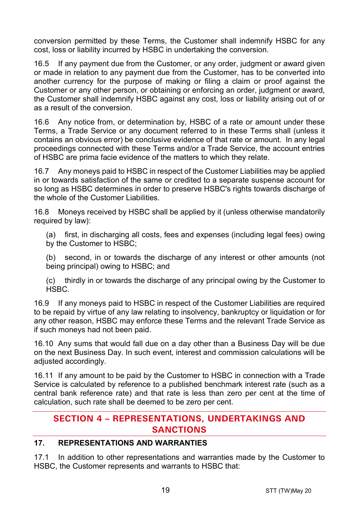conversion permitted by these Terms, the Customer shall indemnify HSBC for any cost, loss or liability incurred by HSBC in undertaking the conversion.

16.5 If any payment due from the Customer, or any order, judgment or award given or made in relation to any payment due from the Customer, has to be converted into another currency for the purpose of making or filing a claim or proof against the Customer or any other person, or obtaining or enforcing an order, judgment or award, the Customer shall indemnify HSBC against any cost, loss or liability arising out of or as a result of the conversion.

16.6 Any notice from, or determination by, HSBC of a rate or amount under these Terms, a Trade Service or any document referred to in these Terms shall (unless it contains an obvious error) be conclusive evidence of that rate or amount. In any legal proceedings connected with these Terms and/or a Trade Service, the account entries of HSBC are prima facie evidence of the matters to which they relate.

16.7 Any moneys paid to HSBC in respect of the Customer Liabilities may be applied in or towards satisfaction of the same or credited to a separate suspense account for so long as HSBC determines in order to preserve HSBC's rights towards discharge of the whole of the Customer Liabilities.

16.8 Moneys received by HSBC shall be applied by it (unless otherwise mandatorily required by law):

(a) first, in discharging all costs, fees and expenses (including legal fees) owing by the Customer to HSBC;

(b) second, in or towards the discharge of any interest or other amounts (not being principal) owing to HSBC; and

(c) thirdly in or towards the discharge of any principal owing by the Customer to HSBC.

16.9 If any moneys paid to HSBC in respect of the Customer Liabilities are required to be repaid by virtue of any law relating to insolvency, bankruptcy or liquidation or for any other reason, HSBC may enforce these Terms and the relevant Trade Service as if such moneys had not been paid.

16.10 Any sums that would fall due on a day other than a Business Day will be due on the next Business Day. In such event, interest and commission calculations will be adjusted accordingly.

16.11 If any amount to be paid by the Customer to HSBC in connection with a Trade Service is calculated by reference to a published benchmark interest rate (such as a central bank reference rate) and that rate is less than zero per cent at the time of calculation, such rate shall be deemed to be zero per cent.

## **SECTION 4 – REPRESENTATIONS, UNDERTAKINGS AND SANCTIONS**

#### **17. REPRESENTATIONS AND WARRANTIES**

17.1 In addition to other representations and warranties made by the Customer to HSBC, the Customer represents and warrants to HSBC that: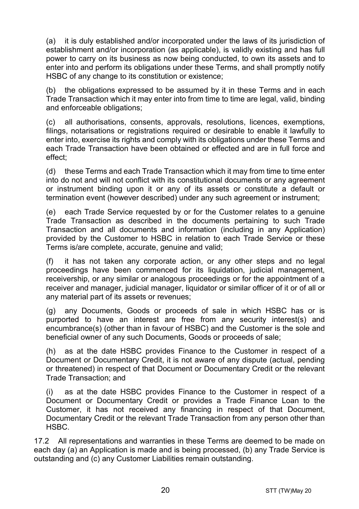(a) it is duly established and/or incorporated under the laws of its jurisdiction of establishment and/or incorporation (as applicable), is validly existing and has full power to carry on its business as now being conducted, to own its assets and to enter into and perform its obligations under these Terms, and shall promptly notify HSBC of any change to its constitution or existence;

(b) the obligations expressed to be assumed by it in these Terms and in each Trade Transaction which it may enter into from time to time are legal, valid, binding and enforceable obligations;

(c) all authorisations, consents, approvals, resolutions, licences, exemptions, filings, notarisations or registrations required or desirable to enable it lawfully to enter into, exercise its rights and comply with its obligations under these Terms and each Trade Transaction have been obtained or effected and are in full force and effect;

(d) these Terms and each Trade Transaction which it may from time to time enter into do not and will not conflict with its constitutional documents or any agreement or instrument binding upon it or any of its assets or constitute a default or termination event (however described) under any such agreement or instrument;

(e) each Trade Service requested by or for the Customer relates to a genuine Trade Transaction as described in the documents pertaining to such Trade Transaction and all documents and information (including in any Application) provided by the Customer to HSBC in relation to each Trade Service or these Terms is/are complete, accurate, genuine and valid;

(f) it has not taken any corporate action, or any other steps and no legal proceedings have been commenced for its liquidation, judicial management, receivership, or any similar or analogous proceedings or for the appointment of a receiver and manager, judicial manager, liquidator or similar officer of it or of all or any material part of its assets or revenues;

(g) any Documents, Goods or proceeds of sale in which HSBC has or is purported to have an interest are free from any security interest(s) and encumbrance(s) (other than in favour of HSBC) and the Customer is the sole and beneficial owner of any such Documents, Goods or proceeds of sale;

(h) as at the date HSBC provides Finance to the Customer in respect of a Document or Documentary Credit, it is not aware of any dispute (actual, pending or threatened) in respect of that Document or Documentary Credit or the relevant Trade Transaction; and

(i) as at the date HSBC provides Finance to the Customer in respect of a Document or Documentary Credit or provides a Trade Finance Loan to the Customer, it has not received any financing in respect of that Document, Documentary Credit or the relevant Trade Transaction from any person other than HSBC.

17.2 All representations and warranties in these Terms are deemed to be made on each day (a) an Application is made and is being processed, (b) any Trade Service is outstanding and (c) any Customer Liabilities remain outstanding.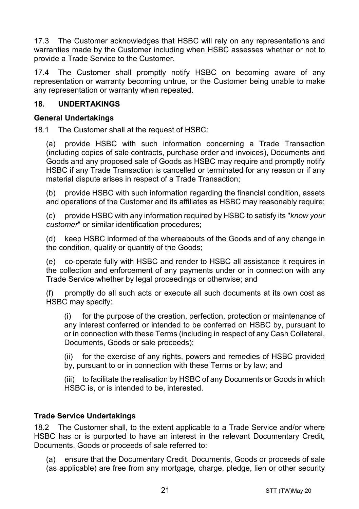17.3 The Customer acknowledges that HSBC will rely on any representations and warranties made by the Customer including when HSBC assesses whether or not to provide a Trade Service to the Customer.

17.4 The Customer shall promptly notify HSBC on becoming aware of any representation or warranty becoming untrue, or the Customer being unable to make any representation or warranty when repeated.

#### **18. UNDERTAKINGS**

#### **General Undertakings**

18.1 The Customer shall at the request of HSBC:

(a) provide HSBC with such information concerning a Trade Transaction (including copies of sale contracts, purchase order and invoices), Documents and Goods and any proposed sale of Goods as HSBC may require and promptly notify HSBC if any Trade Transaction is cancelled or terminated for any reason or if any material dispute arises in respect of a Trade Transaction;

(b) provide HSBC with such information regarding the financial condition, assets and operations of the Customer and its affiliates as HSBC may reasonably require;

(c) provide HSBC with any information required by HSBC to satisfy its "*know your customer*" or similar identification procedures;

(d) keep HSBC informed of the whereabouts of the Goods and of any change in the condition, quality or quantity of the Goods;

(e) co-operate fully with HSBC and render to HSBC all assistance it requires in the collection and enforcement of any payments under or in connection with any Trade Service whether by legal proceedings or otherwise; and

(f) promptly do all such acts or execute all such documents at its own cost as HSBC may specify:

(i) for the purpose of the creation, perfection, protection or maintenance of any interest conferred or intended to be conferred on HSBC by, pursuant to or in connection with these Terms (including in respect of any Cash Collateral, Documents, Goods or sale proceeds);

(ii) for the exercise of any rights, powers and remedies of HSBC provided by, pursuant to or in connection with these Terms or by law; and

(iii) to facilitate the realisation by HSBC of any Documents or Goods in which HSBC is, or is intended to be, interested.

#### **Trade Service Undertakings**

18.2 The Customer shall, to the extent applicable to a Trade Service and/or where HSBC has or is purported to have an interest in the relevant Documentary Credit, Documents, Goods or proceeds of sale referred to:

(a) ensure that the Documentary Credit, Documents, Goods or proceeds of sale (as applicable) are free from any mortgage, charge, pledge, lien or other security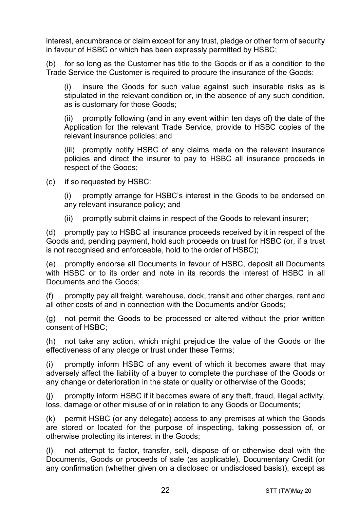interest, encumbrance or claim except for any trust, pledge or other form of security in favour of HSBC or which has been expressly permitted by HSBC;

(b) for so long as the Customer has title to the Goods or if as a condition to the Trade Service the Customer is required to procure the insurance of the Goods:

(i) insure the Goods for such value against such insurable risks as is stipulated in the relevant condition or, in the absence of any such condition, as is customary for those Goods;

(ii) promptly following (and in any event within ten days of) the date of the Application for the relevant Trade Service, provide to HSBC copies of the relevant insurance policies; and

(iii) promptly notify HSBC of any claims made on the relevant insurance policies and direct the insurer to pay to HSBC all insurance proceeds in respect of the Goods;

(c) if so requested by HSBC:

(i) promptly arrange for HSBC's interest in the Goods to be endorsed on any relevant insurance policy; and

(ii) promptly submit claims in respect of the Goods to relevant insurer;

(d) promptly pay to HSBC all insurance proceeds received by it in respect of the Goods and, pending payment, hold such proceeds on trust for HSBC (or, if a trust is not recognised and enforceable, hold to the order of HSBC);

(e) promptly endorse all Documents in favour of HSBC, deposit all Documents with HSBC or to its order and note in its records the interest of HSBC in all Documents and the Goods;

promptly pay all freight, warehouse, dock, transit and other charges, rent and all other costs of and in connection with the Documents and/or Goods;

(g) not permit the Goods to be processed or altered without the prior written consent of HSBC;

(h) not take any action, which might prejudice the value of the Goods or the effectiveness of any pledge or trust under these Terms;

(i) promptly inform HSBC of any event of which it becomes aware that may adversely affect the liability of a buyer to complete the purchase of the Goods or any change or deterioration in the state or quality or otherwise of the Goods;

(j) promptly inform HSBC if it becomes aware of any theft, fraud, illegal activity, loss, damage or other misuse of or in relation to any Goods or Documents;

(k) permit HSBC (or any delegate) access to any premises at which the Goods are stored or located for the purpose of inspecting, taking possession of, or otherwise protecting its interest in the Goods;

(l) not attempt to factor, transfer, sell, dispose of or otherwise deal with the Documents, Goods or proceeds of sale (as applicable), Documentary Credit (or any confirmation (whether given on a disclosed or undisclosed basis)), except as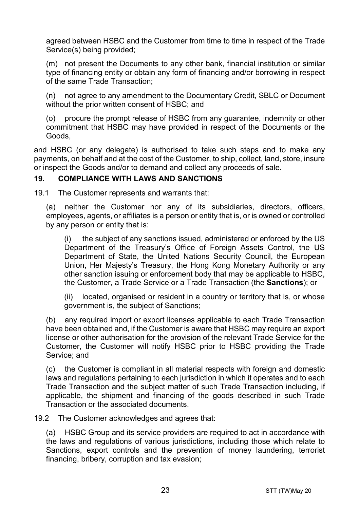agreed between HSBC and the Customer from time to time in respect of the Trade Service(s) being provided;

(m) not present the Documents to any other bank, financial institution or similar type of financing entity or obtain any form of financing and/or borrowing in respect of the same Trade Transaction;

(n) not agree to any amendment to the Documentary Credit, SBLC or Document without the prior written consent of HSBC; and

(o) procure the prompt release of HSBC from any guarantee, indemnity or other commitment that HSBC may have provided in respect of the Documents or the Goods,

and HSBC (or any delegate) is authorised to take such steps and to make any payments, on behalf and at the cost of the Customer, to ship, collect, land, store, insure or inspect the Goods and/or to demand and collect any proceeds of sale.

#### <span id="page-22-0"></span>**19. COMPLIANCE WITH LAWS AND SANCTIONS**

19.1 The Customer represents and warrants that:

(a) neither the Customer nor any of its subsidiaries, directors, officers, employees, agents, or affiliates is a person or entity that is, or is owned or controlled by any person or entity that is:

(i) the subject of any sanctions issued, administered or enforced by the US Department of the Treasury's Office of Foreign Assets Control, the US Department of State, the United Nations Security Council, the European Union, Her Majesty's Treasury, the Hong Kong Monetary Authority or any other sanction issuing or enforcement body that may be applicable to HSBC, the Customer, a Trade Service or a Trade Transaction (the **Sanctions**); or

(ii) located, organised or resident in a country or territory that is, or whose government is, the subject of Sanctions;

(b) any required import or export licenses applicable to each Trade Transaction have been obtained and, if the Customer is aware that HSBC may require an export license or other authorisation for the provision of the relevant Trade Service for the Customer, the Customer will notify HSBC prior to HSBC providing the Trade Service; and

(c) the Customer is compliant in all material respects with foreign and domestic laws and regulations pertaining to each jurisdiction in which it operates and to each Trade Transaction and the subject matter of such Trade Transaction including, if applicable, the shipment and financing of the goods described in such Trade Transaction or the associated documents.

19.2 The Customer acknowledges and agrees that:

(a) HSBC Group and its service providers are required to act in accordance with the laws and regulations of various jurisdictions, including those which relate to Sanctions, export controls and the prevention of money laundering, terrorist financing, bribery, corruption and tax evasion;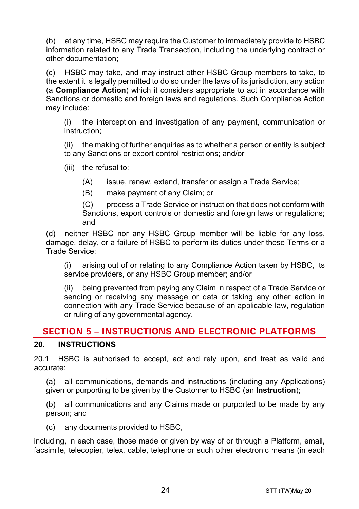(b) at any time, HSBC may require the Customer to immediately provide to HSBC information related to any Trade Transaction, including the underlying contract or other documentation;

(c) HSBC may take, and may instruct other HSBC Group members to take, to the extent it is legally permitted to do so under the laws of its jurisdiction, any action (a **Compliance Action**) which it considers appropriate to act in accordance with Sanctions or domestic and foreign laws and regulations. Such Compliance Action may include:

(i) the interception and investigation of any payment, communication or instruction;

(ii) the making of further enquiries as to whether a person or entity is subject to any Sanctions or export control restrictions; and/or

(iii) the refusal to:

(A) issue, renew, extend, transfer or assign a Trade Service;

(B) make payment of any Claim; or

(C) process a Trade Service or instruction that does not conform with Sanctions, export controls or domestic and foreign laws or regulations; and

(d) neither HSBC nor any HSBC Group member will be liable for any loss, damage, delay, or a failure of HSBC to perform its duties under these Terms or a Trade Service:

(i) arising out of or relating to any Compliance Action taken by HSBC, its service providers, or any HSBC Group member; and/or

(ii) being prevented from paying any Claim in respect of a Trade Service or sending or receiving any message or data or taking any other action in connection with any Trade Service because of an applicable law, regulation or ruling of any governmental agency.

## **SECTION 5 – INSTRUCTIONS AND ELECTRONIC PLATFORMS**

## <span id="page-23-0"></span>**20. INSTRUCTIONS**

20.1 HSBC is authorised to accept, act and rely upon, and treat as valid and accurate:

(a) all communications, demands and instructions (including any Applications) given or purporting to be given by the Customer to HSBC (an **Instruction**);

(b) all communications and any Claims made or purported to be made by any person; and

(c) any documents provided to HSBC,

including, in each case, those made or given by way of or through a Platform, email, facsimile, telecopier, telex, cable, telephone or such other electronic means (in each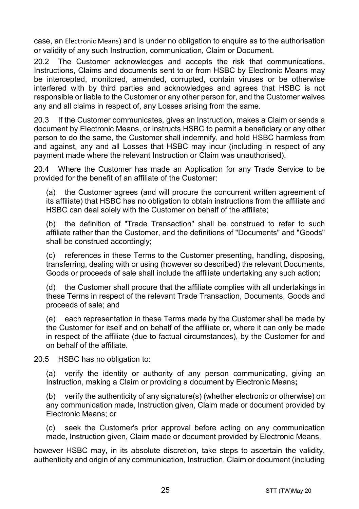case, an Electronic Means) and is under no obligation to enquire as to the authorisation or validity of any such Instruction, communication, Claim or Document.

20.2 The Customer acknowledges and accepts the risk that communications, Instructions, Claims and documents sent to or from HSBC by Electronic Means may be intercepted, monitored, amended, corrupted, contain viruses or be otherwise interfered with by third parties and acknowledges and agrees that HSBC is not responsible or liable to the Customer or any other person for, and the Customer waives any and all claims in respect of, any Losses arising from the same.

20.3 If the Customer communicates, gives an Instruction, makes a Claim or sends a document by Electronic Means, or instructs HSBC to permit a beneficiary or any other person to do the same, the Customer shall indemnify, and hold HSBC harmless from and against, any and all Losses that HSBC may incur (including in respect of any payment made where the relevant Instruction or Claim was unauthorised).

20.4 Where the Customer has made an Application for any Trade Service to be provided for the benefit of an affiliate of the Customer:

(a) the Customer agrees (and will procure the concurrent written agreement of its affiliate) that HSBC has no obligation to obtain instructions from the affiliate and HSBC can deal solely with the Customer on behalf of the affiliate;

(b) the definition of "Trade Transaction" shall be construed to refer to such affiliate rather than the Customer, and the definitions of "Documents" and "Goods" shall be construed accordingly;

(c) references in these Terms to the Customer presenting, handling, disposing, transferring, dealing with or using (however so described) the relevant Documents, Goods or proceeds of sale shall include the affiliate undertaking any such action;

(d) the Customer shall procure that the affiliate complies with all undertakings in these Terms in respect of the relevant Trade Transaction, Documents, Goods and proceeds of sale; and

(e) each representation in these Terms made by the Customer shall be made by the Customer for itself and on behalf of the affiliate or, where it can only be made in respect of the affiliate (due to factual circumstances), by the Customer for and on behalf of the affiliate.

20.5 HSBC has no obligation to:

(a) verify the identity or authority of any person communicating, giving an Instruction, making a Claim or providing a document by Electronic Means**;**

(b) verify the authenticity of any signature(s) (whether electronic or otherwise) on any communication made, Instruction given, Claim made or document provided by Electronic Means; or

(c) seek the Customer's prior approval before acting on any communication made, Instruction given, Claim made or document provided by Electronic Means,

however HSBC may, in its absolute discretion, take steps to ascertain the validity, authenticity and origin of any communication, Instruction, Claim or document (including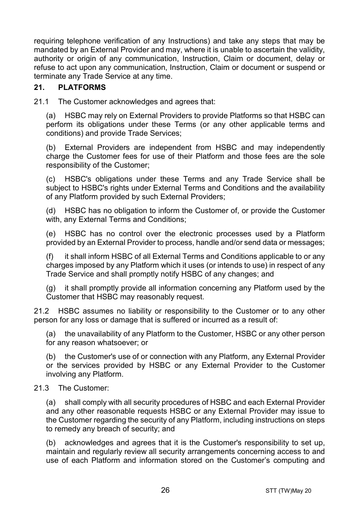requiring telephone verification of any Instructions) and take any steps that may be mandated by an External Provider and may, where it is unable to ascertain the validity, authority or origin of any communication, Instruction, Claim or document, delay or refuse to act upon any communication, Instruction, Claim or document or suspend or terminate any Trade Service at any time.

#### **21. PLATFORMS**

21.1 The Customer acknowledges and agrees that:

(a) HSBC may rely on External Providers to provide Platforms so that HSBC can perform its obligations under these Terms (or any other applicable terms and conditions) and provide Trade Services;

(b) External Providers are independent from HSBC and may independently charge the Customer fees for use of their Platform and those fees are the sole responsibility of the Customer;

(c) HSBC's obligations under these Terms and any Trade Service shall be subject to HSBC's rights under External Terms and Conditions and the availability of any Platform provided by such External Providers;

(d) HSBC has no obligation to inform the Customer of, or provide the Customer with, any External Terms and Conditions;

(e) HSBC has no control over the electronic processes used by a Platform provided by an External Provider to process, handle and/or send data or messages;

(f) it shall inform HSBC of all External Terms and Conditions applicable to or any charges imposed by any Platform which it uses (or intends to use) in respect of any Trade Service and shall promptly notify HSBC of any changes; and

(g) it shall promptly provide all information concerning any Platform used by the Customer that HSBC may reasonably request.

21.2 HSBC assumes no liability or responsibility to the Customer or to any other person for any loss or damage that is suffered or incurred as a result of:

(a) the unavailability of any Platform to the Customer, HSBC or any other person for any reason whatsoever; or

(b) the Customer's use of or connection with any Platform, any External Provider or the services provided by HSBC or any External Provider to the Customer involving any Platform.

#### 21.3 The Customer:

(a) shall comply with all security procedures of HSBC and each External Provider and any other reasonable requests HSBC or any External Provider may issue to the Customer regarding the security of any Platform, including instructions on steps to remedy any breach of security; and

(b) acknowledges and agrees that it is the Customer's responsibility to set up, maintain and regularly review all security arrangements concerning access to and use of each Platform and information stored on the Customer's computing and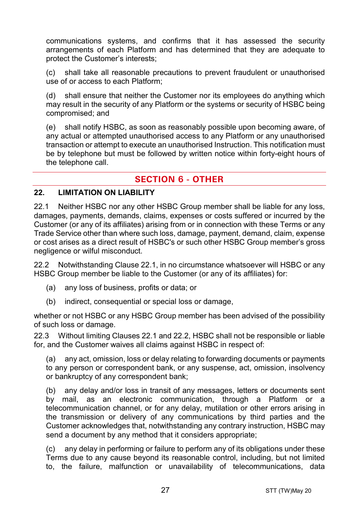communications systems, and confirms that it has assessed the security arrangements of each Platform and has determined that they are adequate to protect the Customer's interests;

(c) shall take all reasonable precautions to prevent fraudulent or unauthorised use of or access to each Platform;

(d) shall ensure that neither the Customer nor its employees do anything which may result in the security of any Platform or the systems or security of HSBC being compromised; and

(e) shall notify HSBC, as soon as reasonably possible upon becoming aware, of any actual or attempted unauthorised access to any Platform or any unauthorised transaction or attempt to execute an unauthorised Instruction. This notification must be by telephone but must be followed by written notice within forty-eight hours of the telephone call.

## **SECTION 6 - OTHER**

#### **22. LIMITATION ON LIABILITY**

<span id="page-26-0"></span>22.1 Neither HSBC nor any other HSBC Group member shall be liable for any loss, damages, payments, demands, claims, expenses or costs suffered or incurred by the Customer (or any of its affiliates) arising from or in connection with these Terms or any Trade Service other than where such loss, damage, payment, demand, claim, expense or cost arises as a direct result of HSBC's or such other HSBC Group member's gross negligence or wilful misconduct.

<span id="page-26-1"></span>22.2 Notwithstanding Clause [22.1,](#page-26-0) in no circumstance whatsoever will HSBC or any HSBC Group member be liable to the Customer (or any of its affiliates) for:

- (a) any loss of business, profits or data; or
- (b) indirect, consequential or special loss or damage,

whether or not HSBC or any HSBC Group member has been advised of the possibility of such loss or damage.

22.3 Without limiting Clauses [22.1](#page-26-0) and [22.2,](#page-26-1) HSBC shall not be responsible or liable for, and the Customer waives all claims against HSBC in respect of:

(a) any act, omission, loss or delay relating to forwarding documents or payments to any person or correspondent bank, or any suspense, act, omission, insolvency or bankruptcy of any correspondent bank;

(b) any delay and/or loss in transit of any messages, letters or documents sent by mail, as an electronic communication, through a Platform or a telecommunication channel, or for any delay, mutilation or other errors arising in the transmission or delivery of any communications by third parties and the Customer acknowledges that, notwithstanding any contrary instruction, HSBC may send a document by any method that it considers appropriate;

(c) any delay in performing or failure to perform any of its obligations under these Terms due to any cause beyond its reasonable control, including, but not limited to, the failure, malfunction or unavailability of telecommunications, data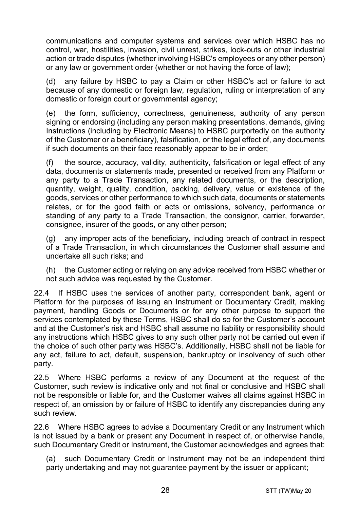communications and computer systems and services over which HSBC has no control, war, hostilities, invasion, civil unrest, strikes, lock-outs or other industrial action or trade disputes (whether involving HSBC's employees or any other person) or any law or government order (whether or not having the force of law);

(d) any failure by HSBC to pay a Claim or other HSBC's act or failure to act because of any domestic or foreign law, regulation, ruling or interpretation of any domestic or foreign court or governmental agency;

(e) the form, sufficiency, correctness, genuineness, authority of any person signing or endorsing (including any person making presentations, demands, giving Instructions (including by Electronic Means) to HSBC purportedly on the authority of the Customer or a beneficiary), falsification, or the legal effect of, any documents if such documents on their face reasonably appear to be in order;

(f) the source, accuracy, validity, authenticity, falsification or legal effect of any data, documents or statements made, presented or received from any Platform or any party to a Trade Transaction, any related documents, or the description, quantity, weight, quality, condition, packing, delivery, value or existence of the goods, services or other performance to which such data, documents or statements relates, or for the good faith or acts or omissions, solvency, performance or standing of any party to a Trade Transaction, the consignor, carrier, forwarder, consignee, insurer of the goods, or any other person;

(g) any improper acts of the beneficiary, including breach of contract in respect of a Trade Transaction, in which circumstances the Customer shall assume and undertake all such risks; and

(h) the Customer acting or relying on any advice received from HSBC whether or not such advice was requested by the Customer.

22.4 If HSBC uses the services of another party, correspondent bank, agent or Platform for the purposes of issuing an Instrument or Documentary Credit, making payment, handling Goods or Documents or for any other purpose to support the services contemplated by these Terms, HSBC shall do so for the Customer's account and at the Customer's risk and HSBC shall assume no liability or responsibility should any instructions which HSBC gives to any such other party not be carried out even if the choice of such other party was HSBC's. Additionally, HSBC shall not be liable for any act, failure to act, default, suspension, bankruptcy or insolvency of such other party.

22.5 Where HSBC performs a review of any Document at the request of the Customer, such review is indicative only and not final or conclusive and HSBC shall not be responsible or liable for, and the Customer waives all claims against HSBC in respect of, an omission by or failure of HSBC to identify any discrepancies during any such review.

22.6 Where HSBC agrees to advise a Documentary Credit or any Instrument which is not issued by a bank or present any Document in respect of, or otherwise handle, such Documentary Credit or Instrument, the Customer acknowledges and agrees that:

(a) such Documentary Credit or Instrument may not be an independent third party undertaking and may not guarantee payment by the issuer or applicant;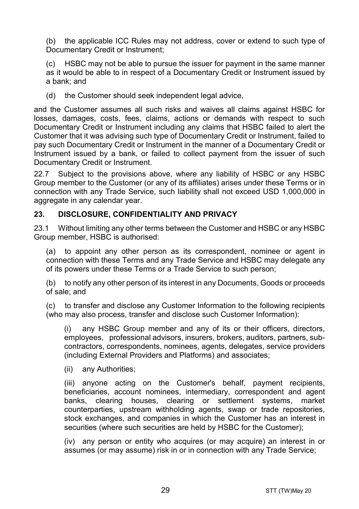(b) the applicable ICC Rules may not address, cover or extend to such type of Documentary Credit or Instrument:

HSBC may not be able to pursue the issuer for payment in the same manner as it would be able to in respect of a Documentary Credit or Instrument issued by a bank; and

(d) the Customer should seek independent legal advice,

and the Customer assumes all such risks and waives all claims against HSBC for losses, damages, costs, fees, claims, actions or demands with respect to such Documentary Credit or Instrument including any claims that HSBC failed to alert the Customer that it was advising such type of Documentary Credit or Instrument, failed to pay such Documentary Credit or Instrument in the manner of a Documentary Credit or Instrument issued by a bank, or failed to collect payment from the issuer of such Documentary Credit or Instrument.

22.7 Subject to the provisions above, where any liability of HSBC or any HSBC Group member to the Customer (or any of its affiliates) arises under these Terms or in connection with any Trade Service, such liability shall not exceed USD 1,000,000 in aggregate in any calendar year.

#### <span id="page-28-1"></span>**23. DISCLOSURE, CONFIDENTIALITY AND PRIVACY**

23.1 Without limiting any other terms between the Customer and HSBC or any HSBC Group member, HSBC is authorised:

<span id="page-28-0"></span>(a) to appoint any other person as its correspondent, nominee or agent in connection with these Terms and any Trade Service and HSBC may delegate any of its powers under these Terms or a Trade Service to such person;

(b) to notify any other person of its interest in any Documents, Goods or proceeds of sale; and

(c) to transfer and disclose any Customer Information to the following recipients (who may also process, transfer and disclose such Customer Information):

(i) any HSBC Group member and any of its or their officers, directors, employees, professional advisors, insurers, brokers, auditors, partners, subcontractors, correspondents, nominees, agents, delegates, service providers (including External Providers and Platforms) and associates;

(ii) any Authorities;

(iii) anyone acting on the Customer's behalf, payment recipients, beneficiaries, account nominees, intermediary, correspondent and agent banks, clearing houses, clearing or settlement systems, market counterparties, upstream withholding agents, swap or trade repositories, stock exchanges, and companies in which the Customer has an interest in securities (where such securities are held by HSBC for the Customer);

(iv) any person or entity who acquires (or may acquire) an interest in or assumes (or may assume) risk in or in connection with any Trade Service;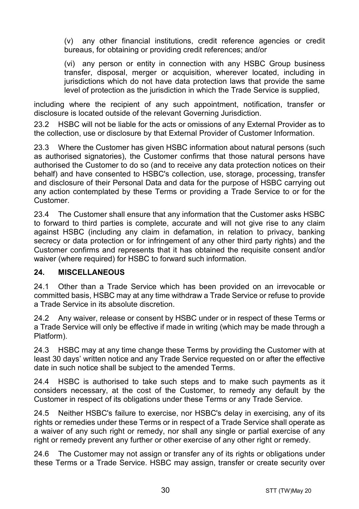(v) any other financial institutions, credit reference agencies or credit bureaus, for obtaining or providing credit references; and/or

(vi) any person or entity in connection with any HSBC Group business transfer, disposal, merger or acquisition, wherever located, including in jurisdictions which do not have data protection laws that provide the same level of protection as the jurisdiction in which the Trade Service is supplied,

including where the recipient of any such appointment, notification, transfer or disclosure is located outside of the relevant Governing Jurisdiction.

23.2 HSBC will not be liable for the acts or omissions of any External Provider as to the collection, use or disclosure by that External Provider of Customer Information.

23.3 Where the Customer has given HSBC information about natural persons (such as authorised signatories), the Customer confirms that those natural persons have authorised the Customer to do so (and to receive any data protection notices on their behalf) and have consented to HSBC's collection, use, storage, processing, transfer and disclosure of their Personal Data and data for the purpose of HSBC carrying out any action contemplated by these Terms or providing a Trade Service to or for the **Customer** 

23.4 The Customer shall ensure that any information that the Customer asks HSBC to forward to third parties is complete, accurate and will not give rise to any claim against HSBC (including any claim in defamation, in relation to privacy, banking secrecy or data protection or for infringement of any other third party rights) and the Customer confirms and represents that it has obtained the requisite consent and/or waiver (where required) for HSBC to forward such information.

#### **24. MISCELLANEOUS**

24.1 Other than a Trade Service which has been provided on an irrevocable or committed basis, HSBC may at any time withdraw a Trade Service or refuse to provide a Trade Service in its absolute discretion.

24.2 Any waiver, release or consent by HSBC under or in respect of these Terms or a Trade Service will only be effective if made in writing (which may be made through a Platform).

24.3 HSBC may at any time change these Terms by providing the Customer with at least 30 days' written notice and any Trade Service requested on or after the effective date in such notice shall be subject to the amended Terms.

24.4 HSBC is authorised to take such steps and to make such payments as it considers necessary, at the cost of the Customer, to remedy any default by the Customer in respect of its obligations under these Terms or any Trade Service.

24.5 Neither HSBC's failure to exercise, nor HSBC's delay in exercising, any of its rights or remedies under these Terms or in respect of a Trade Service shall operate as a waiver of any such right or remedy, nor shall any single or partial exercise of any right or remedy prevent any further or other exercise of any other right or remedy.

24.6 The Customer may not assign or transfer any of its rights or obligations under these Terms or a Trade Service. HSBC may assign, transfer or create security over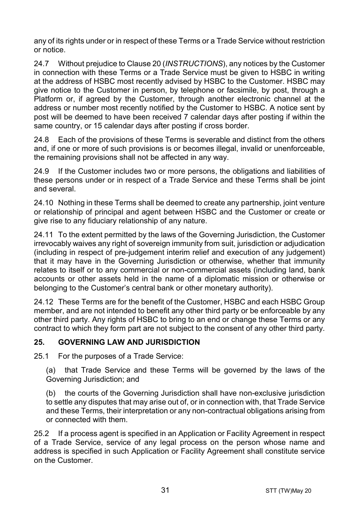any of its rights under or in respect of these Terms or a Trade Service without restriction or notice.

24.7 Without prejudice to Claus[e 20](#page-23-0) (*[INSTRUCTIONS](#page-23-0)*), any notices by the Customer in connection with these Terms or a Trade Service must be given to HSBC in writing at the address of HSBC most recently advised by HSBC to the Customer. HSBC may give notice to the Customer in person, by telephone or facsimile, by post, through a Platform or, if agreed by the Customer, through another electronic channel at the address or number most recently notified by the Customer to HSBC. A notice sent by post will be deemed to have been received 7 calendar days after posting if within the same country, or 15 calendar days after posting if cross border.

24.8 Each of the provisions of these Terms is severable and distinct from the others and, if one or more of such provisions is or becomes illegal, invalid or unenforceable, the remaining provisions shall not be affected in any way.

24.9 If the Customer includes two or more persons, the obligations and liabilities of these persons under or in respect of a Trade Service and these Terms shall be joint and several.

24.10 Nothing in these Terms shall be deemed to create any partnership, joint venture or relationship of principal and agent between HSBC and the Customer or create or give rise to any fiduciary relationship of any nature.

24.11 To the extent permitted by the laws of the Governing Jurisdiction, the Customer irrevocably waives any right of sovereign immunity from suit, jurisdiction or adjudication (including in respect of pre-judgement interim relief and execution of any judgement) that it may have in the Governing Jurisdiction or otherwise, whether that immunity relates to itself or to any commercial or non-commercial assets (including land, bank accounts or other assets held in the name of a diplomatic mission or otherwise or belonging to the Customer's central bank or other monetary authority).

24.12 These Terms are for the benefit of the Customer, HSBC and each HSBC Group member, and are not intended to benefit any other third party or be enforceable by any other third party. Any rights of HSBC to bring to an end or change these Terms or any contract to which they form part are not subject to the consent of any other third party.

## **25. GOVERNING LAW AND JURISDICTION**

25.1 For the purposes of a Trade Service:

(a) that Trade Service and these Terms will be governed by the laws of the Governing Jurisdiction; and

(b) the courts of the Governing Jurisdiction shall have non-exclusive jurisdiction to settle any disputes that may arise out of, or in connection with, that Trade Service and these Terms, their interpretation or any non-contractual obligations arising from or connected with them.

25.2 If a process agent is specified in an Application or Facility Agreement in respect of a Trade Service, service of any legal process on the person whose name and address is specified in such Application or Facility Agreement shall constitute service on the Customer.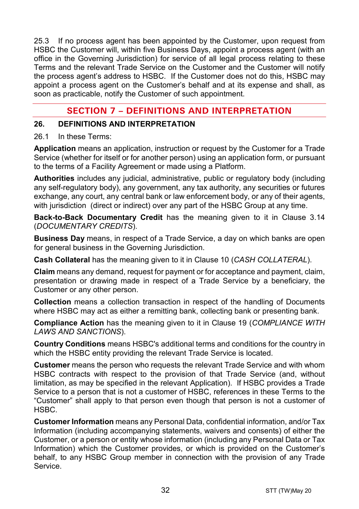25.3 If no process agent has been appointed by the Customer, upon request from HSBC the Customer will, within five Business Days, appoint a process agent (with an office in the Governing Jurisdiction) for service of all legal process relating to these Terms and the relevant Trade Service on the Customer and the Customer will notify the process agent's address to HSBC. If the Customer does not do this, HSBC may appoint a process agent on the Customer's behalf and at its expense and shall, as soon as practicable, notify the Customer of such appointment.

## **SECTION 7 – DEFINITIONS AND INTERPRETATION**

#### **26. DEFINITIONS AND INTERPRETATION**

#### 26.1 In these Terms:

**Application** means an application, instruction or request by the Customer for a Trade Service (whether for itself or for another person) using an application form, or pursuant to the terms of a Facility Agreement or made using a Platform.

**Authorities** includes any judicial, administrative, public or regulatory body (including any self-regulatory body), any government, any tax authority, any securities or futures exchange, any court, any central bank or law enforcement body, or any of their agents, with jurisdiction (direct or indirect) over any part of the HSBC Group at any time.

**Back-to-Back Documentary Credit** has the meaning given to it in Clause [3.14](#page-5-0) (*[DOCUMENTARY CREDITS](#page-3-0)*).

**Business Day** means, in respect of a Trade Service, a day on which banks are open for general business in the Governing Jurisdiction.

**Cash Collateral** has the meaning given to it in Clause [10](#page-13-2) (*[CASH COLLATERAL](#page-13-2)*).

**Claim** means any demand, request for payment or for acceptance and payment, claim, presentation or drawing made in respect of a Trade Service by a beneficiary, the Customer or any other person.

**Collection** means a collection transaction in respect of the handling of Documents where HSBC may act as either a remitting bank, collecting bank or presenting bank.

**Compliance Action** has the meaning given to it in Clause [19](#page-22-0) (*[COMPLIANCE WITH](#page-22-0)  [LAWS AND SANCTIONS](#page-22-0)*).

**Country Conditions** means HSBC's additional terms and conditions for the country in which the HSBC entity providing the relevant Trade Service is located.

**Customer** means the person who requests the relevant Trade Service and with whom HSBC contracts with respect to the provision of that Trade Service (and, without limitation, as may be specified in the relevant Application). If HSBC provides a Trade Service to a person that is not a customer of HSBC, references in these Terms to the "Customer" shall apply to that person even though that person is not a customer of HSBC.

**Customer Information** means any Personal Data, confidential information, and/or Tax Information (including accompanying statements, waivers and consents) of either the Customer, or a person or entity whose information (including any Personal Data or Tax Information) which the Customer provides, or which is provided on the Customer's behalf, to any HSBC Group member in connection with the provision of any Trade Service.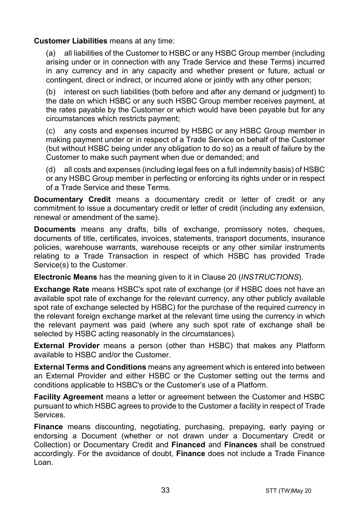#### **Customer Liabilities** means at any time:

(a) all liabilities of the Customer to HSBC or any HSBC Group member (including arising under or in connection with any Trade Service and these Terms) incurred in any currency and in any capacity and whether present or future, actual or contingent, direct or indirect, or incurred alone or jointly with any other person;

(b) interest on such liabilities (both before and after any demand or judgment) to the date on which HSBC or any such HSBC Group member receives payment, at the rates payable by the Customer or which would have been payable but for any circumstances which restricts payment;

(c) any costs and expenses incurred by HSBC or any HSBC Group member in making payment under or in respect of a Trade Service on behalf of the Customer (but without HSBC being under any obligation to do so) as a result of failure by the Customer to make such payment when due or demanded; and

(d) all costs and expenses (including legal fees on a full indemnity basis) of HSBC or any HSBC Group member in perfecting or enforcing its rights under or in respect of a Trade Service and these Terms.

**Documentary Credit** means a documentary credit or letter of credit or any commitment to issue a documentary credit or letter of credit (including any extension, renewal or amendment of the same).

**Documents** means any drafts, bills of exchange, promissory notes, cheques, documents of title, certificates, invoices, statements, transport documents, insurance policies, warehouse warrants, warehouse receipts or any other similar instruments relating to a Trade Transaction in respect of which HSBC has provided Trade Service(s) to the Customer.

**Electronic Means** has the meaning given to it in Clause [20](#page-23-0) (*[INSTRUCTIONS](#page-23-0)*).

**Exchange Rate** means HSBC's spot rate of exchange (or if HSBC does not have an available spot rate of exchange for the relevant currency, any other publicly available spot rate of exchange selected by HSBC) for the purchase of the required currency in the relevant foreign exchange market at the relevant time using the currency in which the relevant payment was paid (where any such spot rate of exchange shall be selected by HSBC acting reasonably in the circumstances).

**External Provider** means a person (other than HSBC) that makes any Platform available to HSBC and/or the Customer.

**External Terms and Conditions** means any agreement which is entered into between an External Provider and either HSBC or the Customer setting out the terms and conditions applicable to HSBC's or the Customer's use of a Platform.

**Facility Agreement** means a letter or agreement between the Customer and HSBC pursuant to which HSBC agrees to provide to the Customer a facility in respect of Trade Services.

**Finance** means discounting, negotiating, purchasing, prepaying, early paying or endorsing a Document (whether or not drawn under a Documentary Credit or Collection) or Documentary Credit and **Financed** and **Finances** shall be construed accordingly. For the avoidance of doubt, **Finance** does not include a Trade Finance Loan.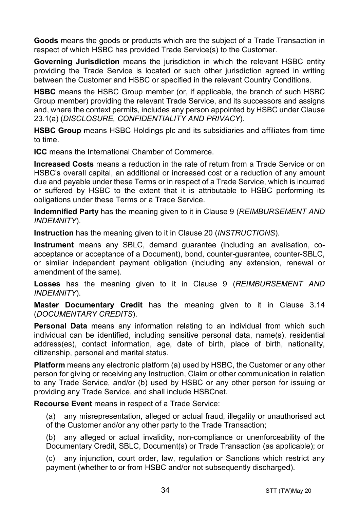**Goods** means the goods or products which are the subject of a Trade Transaction in respect of which HSBC has provided Trade Service(s) to the Customer.

**Governing Jurisdiction** means the jurisdiction in which the relevant HSBC entity providing the Trade Service is located or such other jurisdiction agreed in writing between the Customer and HSBC or specified in the relevant Country Conditions.

**HSBC** means the HSBC Group member (or, if applicable, the branch of such HSBC Group member) providing the relevant Trade Service, and its successors and assigns and, where the context permits, includes any person appointed by HSBC under Clause [23.1\(a\)](#page-28-0) (*[DISCLOSURE, CONFIDENTIALITY AND PRIVACY](#page-28-1)*).

**HSBC Group** means HSBC Holdings plc and its subsidiaries and affiliates from time to time.

**ICC** means the International Chamber of Commerce.

**Increased Costs** means a reduction in the rate of return from a Trade Service or on HSBC's overall capital, an additional or increased cost or a reduction of any amount due and payable under these Terms or in respect of a Trade Service, which is incurred or suffered by HSBC to the extent that it is attributable to HSBC performing its obligations under these Terms or a Trade Service.

**Indemnified Party** has the meaning given to it in Claus[e 9](#page-13-0) (*[REIMBURSEMENT AND](#page-13-0)  [INDEMNITY](#page-13-0)*).

**Instruction** has the meaning given to it in Clause [20](#page-23-0) (*[INSTRUCTIONS](#page-23-0)*).

**Instrument** means any SBLC, demand guarantee (including an avalisation, coacceptance or acceptance of a Document), bond, counter-guarantee, counter-SBLC, or similar independent payment obligation (including any extension, renewal or amendment of the same).

**Losses** has the meaning given to it in Clause [9](#page-13-0) (*[REIMBURSEMENT AND](#page-13-0)  [INDEMNITY](#page-13-0)*).

**Master Documentary Credit** has the meaning given to it in Clause [3.14](#page-5-0) (*[DOCUMENTARY CREDITS](#page-3-0)*).

**Personal Data** means any information relating to an individual from which such individual can be identified, including sensitive personal data, name(s), residential address(es), contact information, age, date of birth, place of birth, nationality, citizenship, personal and marital status.

**Platform** means any electronic platform (a) used by HSBC, the Customer or any other person for giving or receiving any Instruction, Claim or other communication in relation to any Trade Service, and/or (b) used by HSBC or any other person for issuing or providing any Trade Service, and shall include HSBCnet.

**Recourse Event** means in respect of a Trade Service:

(a) any misrepresentation, alleged or actual fraud, illegality or unauthorised act of the Customer and/or any other party to the Trade Transaction;

(b) any alleged or actual invalidity, non-compliance or unenforceability of the Documentary Credit, SBLC, Document(s) or Trade Transaction (as applicable); or

(c) any injunction, court order, law, regulation or Sanctions which restrict any payment (whether to or from HSBC and/or not subsequently discharged).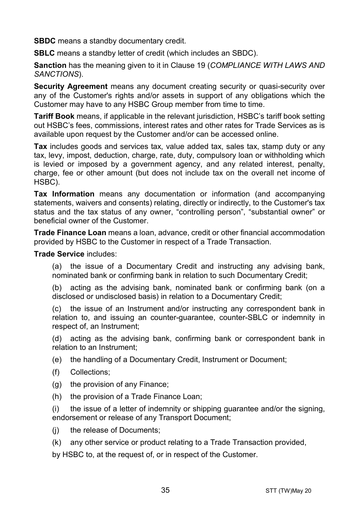**SBDC** means a standby documentary credit.

**SBLC** means a standby letter of credit (which includes an SBDC).

**Sanction** has the meaning given to it in Clause [19](#page-22-0) (*[COMPLIANCE WITH LAWS AND](#page-22-0)  [SANCTIONS](#page-22-0)*).

**Security Agreement** means any document creating security or quasi-security over any of the Customer's rights and/or assets in support of any obligations which the Customer may have to any HSBC Group member from time to time.

**Tariff Book** means, if applicable in the relevant jurisdiction, HSBC's tariff book setting out HSBC's fees, commissions, interest rates and other rates for Trade Services as is available upon request by the Customer and/or can be accessed online.

**Tax** includes goods and services tax, value added tax, sales tax, stamp duty or any tax, levy, impost, deduction, charge, rate, duty, compulsory loan or withholding which is levied or imposed by a government agency, and any related interest, penalty, charge, fee or other amount (but does not include tax on the overall net income of HSBC).

**Tax Information** means any documentation or information (and accompanying statements, waivers and consents) relating, directly or indirectly, to the Customer's tax status and the tax status of any owner, "controlling person", "substantial owner" or beneficial owner of the Customer.

**Trade Finance Loan** means a loan, advance, credit or other financial accommodation provided by HSBC to the Customer in respect of a Trade Transaction.

**Trade Service** includes:

(a) the issue of a Documentary Credit and instructing any advising bank, nominated bank or confirming bank in relation to such Documentary Credit;

(b) acting as the advising bank, nominated bank or confirming bank (on a disclosed or undisclosed basis) in relation to a Documentary Credit;

(c) the issue of an Instrument and/or instructing any correspondent bank in relation to, and issuing an counter-guarantee, counter-SBLC or indemnity in respect of, an Instrument;

(d) acting as the advising bank, confirming bank or correspondent bank in relation to an Instrument;

(e) the handling of a Documentary Credit, Instrument or Document;

- (f) Collections;
- (g) the provision of any Finance;
- (h) the provision of a Trade Finance Loan;

(i) the issue of a letter of indemnity or shipping guarantee and/or the signing, endorsement or release of any Transport Document;

- (i) the release of Documents:
- (k) any other service or product relating to a Trade Transaction provided,

by HSBC to, at the request of, or in respect of the Customer.